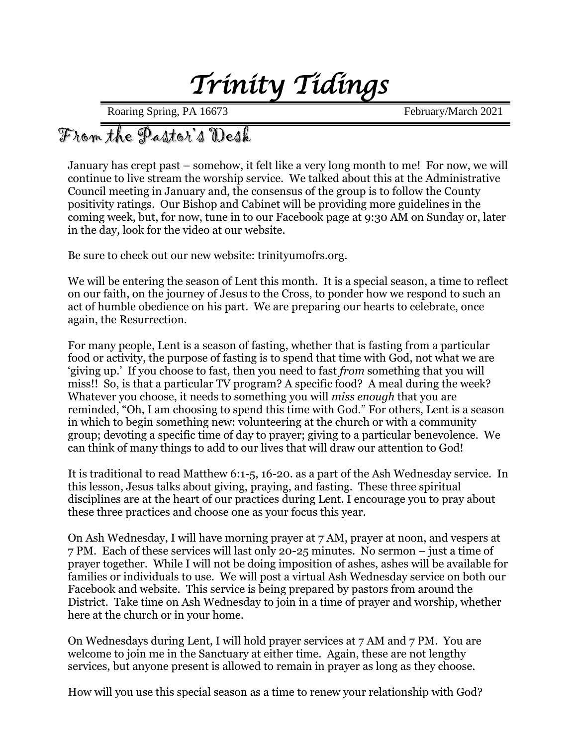# *Trinity Tidings*

Roaring Spring, PA 16673 February/March 2021

## From the Pastor's Desk

January has crept past – somehow, it felt like a very long month to me! For now, we will continue to live stream the worship service. We talked about this at the Administrative Council meeting in January and, the consensus of the group is to follow the County positivity ratings. Our Bishop and Cabinet will be providing more guidelines in the coming week, but, for now, tune in to our Facebook page at 9:30 AM on Sunday or, later in the day, look for the video at our website.

Be sure to check out our new website: trinityumofrs.org.

We will be entering the season of Lent this month. It is a special season, a time to reflect on our faith, on the journey of Jesus to the Cross, to ponder how we respond to such an act of humble obedience on his part. We are preparing our hearts to celebrate, once again, the Resurrection.

For many people, Lent is a season of fasting, whether that is fasting from a particular food or activity, the purpose of fasting is to spend that time with God, not what we are 'giving up.' If you choose to fast, then you need to fast *from* something that you will miss!! So, is that a particular TV program? A specific food? A meal during the week? Whatever you choose, it needs to something you will *miss enough* that you are reminded, "Oh, I am choosing to spend this time with God." For others, Lent is a season in which to begin something new: volunteering at the church or with a community group; devoting a specific time of day to prayer; giving to a particular benevolence. We can think of many things to add to our lives that will draw our attention to God!

It is traditional to read Matthew 6:1-5, 16-20. as a part of the Ash Wednesday service. In this lesson, Jesus talks about giving, praying, and fasting. These three spiritual disciplines are at the heart of our practices during Lent. I encourage you to pray about these three practices and choose one as your focus this year.

On Ash Wednesday, I will have morning prayer at 7 AM, prayer at noon, and vespers at 7 PM. Each of these services will last only 20-25 minutes. No sermon – just a time of prayer together. While I will not be doing imposition of ashes, ashes will be available for families or individuals to use. We will post a virtual Ash Wednesday service on both our Facebook and website. This service is being prepared by pastors from around the District. Take time on Ash Wednesday to join in a time of prayer and worship, whether here at the church or in your home.

On Wednesdays during Lent, I will hold prayer services at 7 AM and 7 PM. You are welcome to join me in the Sanctuary at either time. Again, these are not lengthy services, but anyone present is allowed to remain in prayer as long as they choose.

How will you use this special season as a time to renew your relationship with God?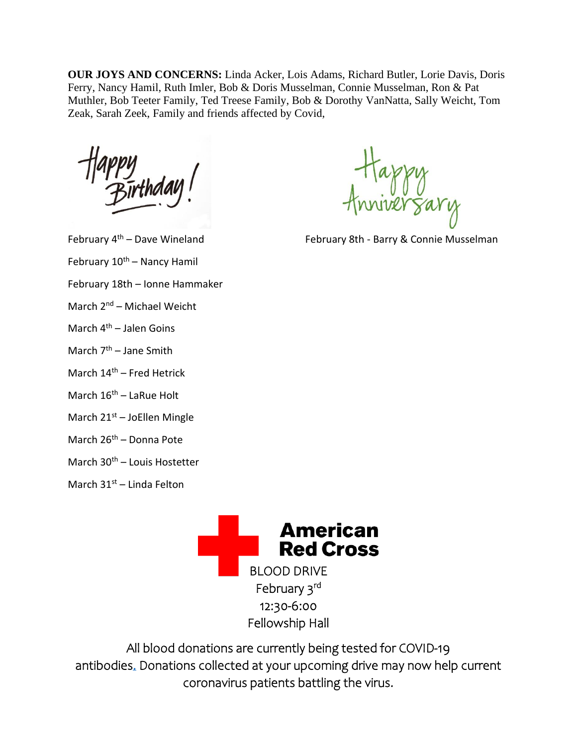**OUR JOYS AND CONCERNS:** Linda Acker, Lois Adams, Richard Butler, Lorie Davis, Doris Ferry, Nancy Hamil, Ruth Imler, Bob & Doris Musselman, Connie Musselman, Ron & Pat Muthler, Bob Teeter Family, Ted Treese Family, Bob & Dorothy VanNatta, Sally Weicht, Tom Zeak, Sarah Zeek, Family and friends affected by Covid,

- February 10<sup>th</sup> Nancy Hamil
- February 18th Ionne Hammaker
- March 2nd Michael Weicht
- March  $4<sup>th</sup>$  Jalen Goins
- March 7<sup>th</sup> Jane Smith
- March  $14<sup>th</sup>$  Fred Hetrick
- March 16<sup>th</sup> LaRue Holt
- March 21<sup>st</sup> JoEllen Mingle
- March 26<sup>th</sup> Donna Pote
- March 30<sup>th</sup> Louis Hostetter

March  $31^{st}$  – Linda Felton

erzary

February 4<sup>th</sup> – Dave Wineland **February 8th - Barry & Connie Musselman** 



All blood donations are currently being tested for [COVID-19](https://mail.atlanticbbn.net/Redirect/7EBC6A98/t.givebloodtoday.redcrossblood.org/r/?id=h5f28de65,180fca6d,16408843&med=email&source=bioadobe&campdesc=BHQ_BPL_NH_2WeekPreDrive_Feb_202101&cid=352456527&did=PRDDM118276&bid=1596513893&subj=Recruitment%20tools%20for%20your%20upcoming%20blood%20drive.&prty=normal&nat=transactional&prod=sponsor&sender=Blood%20Program%20Leaders&delvId=403688045)  [antibodies.](https://mail.atlanticbbn.net/Redirect/7EBC6A98/t.givebloodtoday.redcrossblood.org/r/?id=h5f28de65,180fca6d,16408843&med=email&source=bioadobe&campdesc=BHQ_BPL_NH_2WeekPreDrive_Feb_202101&cid=352456527&did=PRDDM118276&bid=1596513893&subj=Recruitment%20tools%20for%20your%20upcoming%20blood%20drive.&prty=normal&nat=transactional&prod=sponsor&sender=Blood%20Program%20Leaders&delvId=403688045) Donations collected at your upcoming drive may now help current coronavirus patients battling the virus.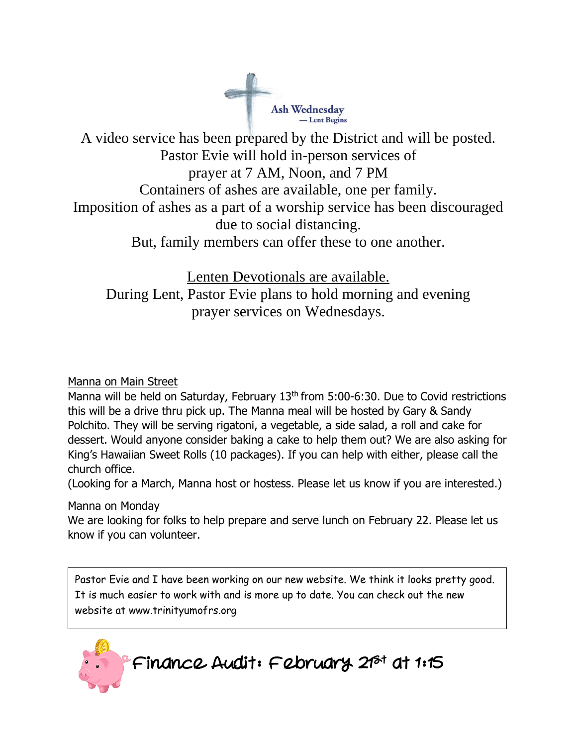

A video service has been prepared by the District and will be posted. Pastor Evie will hold in-person services of prayer at 7 AM, Noon, and 7 PM Containers of ashes are available, one per family. Imposition of ashes as a part of a worship service has been discouraged due to social distancing. But, family members can offer these to one another.

Lenten Devotionals are available. During Lent, Pastor Evie plans to hold morning and evening prayer services on Wednesdays.

#### Manna on Main Street

Manna will be held on Saturday, February 13<sup>th</sup> from 5:00-6:30. Due to Covid restrictions this will be a drive thru pick up. The Manna meal will be hosted by Gary & Sandy Polchito. They will be serving rigatoni, a vegetable, a side salad, a roll and cake for dessert. Would anyone consider baking a cake to help them out? We are also asking for King's Hawaiian Sweet Rolls (10 packages). If you can help with either, please call the church office.

(Looking for a March, Manna host or hostess. Please let us know if you are interested.)

#### Manna on Monday

We are looking for folks to help prepare and serve lunch on February 22. Please let us know if you can volunteer.

Pastor Evie and I have been working on our new website. We think it looks pretty good. It is much easier to work with and is more up to date. You can check out the new website at www.trinityumofrs.org

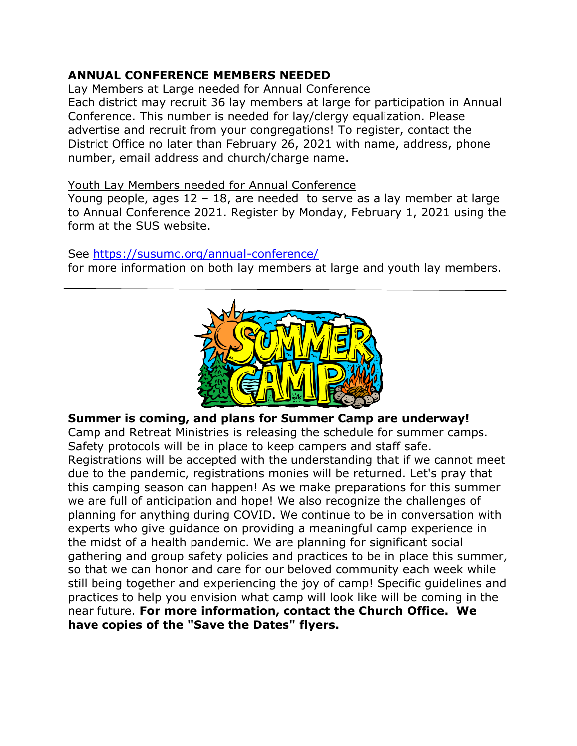#### **ANNUAL CONFERENCE MEMBERS NEEDED**

Lay Members at Large needed for Annual Conference

Each district may recruit 36 lay members at large for participation in Annual Conference. This number is needed for lay/clergy equalization. Please advertise and recruit from your congregations! To register, contact the District Office no later than February 26, 2021 with name, address, phone number, email address and church/charge name.

#### Youth Lay Members needed for Annual Conference

Young people, ages 12 – 18, are needed to serve as a lay member at large to Annual Conference 2021. Register by Monday, February 1, 2021 using the form at the SUS website.

#### See [https://susumc.org/annual-conference/](https://mail.atlanticbbn.net/SRedirect/DF8E01BB/susumc.org/annual-conference/)

for more information on both lay members at large and youth lay members.



#### **Summer is coming, and plans for Summer Camp are underway!**

Camp and Retreat Ministries is releasing the schedule for summer camps. Safety protocols will be in place to keep campers and staff safe. Registrations will be accepted with the understanding that if we cannot meet due to the pandemic, registrations monies will be returned. Let's pray that this camping season can happen! As we make preparations for this summer we are full of anticipation and hope! We also recognize the challenges of planning for anything during COVID. We continue to be in conversation with experts who give guidance on providing a meaningful camp experience in the midst of a health pandemic. We are planning for significant social gathering and group safety policies and practices to be in place this summer, so that we can honor and care for our beloved community each week while still being together and experiencing the joy of camp! Specific guidelines and practices to help you envision what camp will look like will be coming in the near future. **For more information, contact the Church Office. We have copies of the "Save the Dates" flyers.**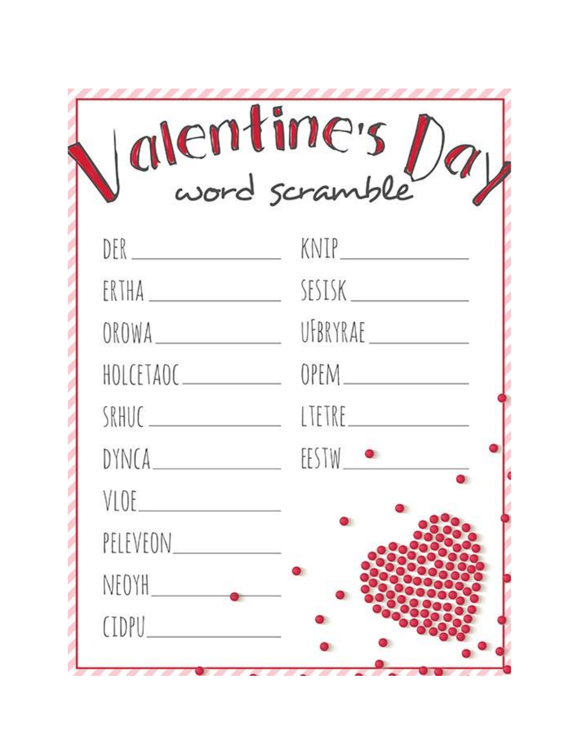| alentine's   |          |
|--------------|----------|
|              | KNIP_    |
| ERTHA        | SESISK   |
| OROWA        | UFBRYRAE |
| HOLCETAOC___ |          |
| SRHUC.       | LTETRE.  |
| DYNCA_____   | EESTW ·  |
|              |          |
| PELEVEON____ |          |
| NEOYH        |          |
| <b>CIDPU</b> |          |